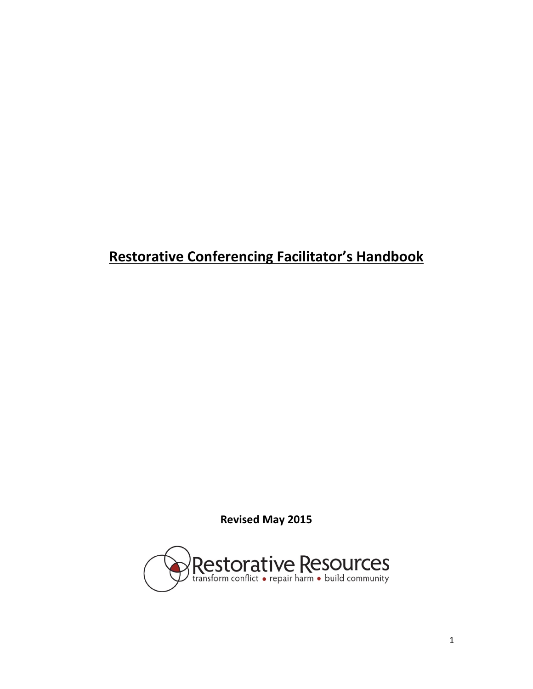# **Restorative Conferencing Facilitator's Handbook**

**Revised May 2015**

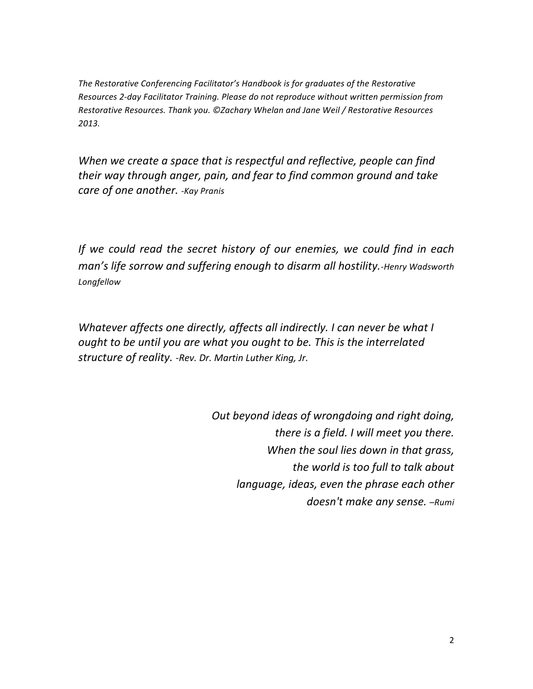The Restorative Conferencing Facilitator's Handbook is for graduates of the Restorative Resources 2-day Facilitator Training. Please do not reproduce without written permission from Restorative Resources. Thank you. ©Zachary Whelan and Jane Weil / Restorative Resources *2013.* 

*When* we create a space that is respectful and reflective, people can find *their* way through anger, pain, and fear to find common ground and take *care of one another. -Kay Pranis*

*If* we could read the secret history of our enemies, we could find in each man's life sorrow and suffering enough to disarm all hostility.-Henry Wadsworth *Longfellow*

*Whatever affects one directly, affects all indirectly. I can never be what I ought to be until you are what you ought to be. This is the interrelated structure of reality. -Rev. Dr. Martin Luther King, Jr.*

> *Out beyond ideas of wrongdoing and right doing, there is a field. I will meet you there. When the soul lies down in that grass, the world is too full to talk about language, ideas, even the phrase each other* doesn't make any sense. -Rumi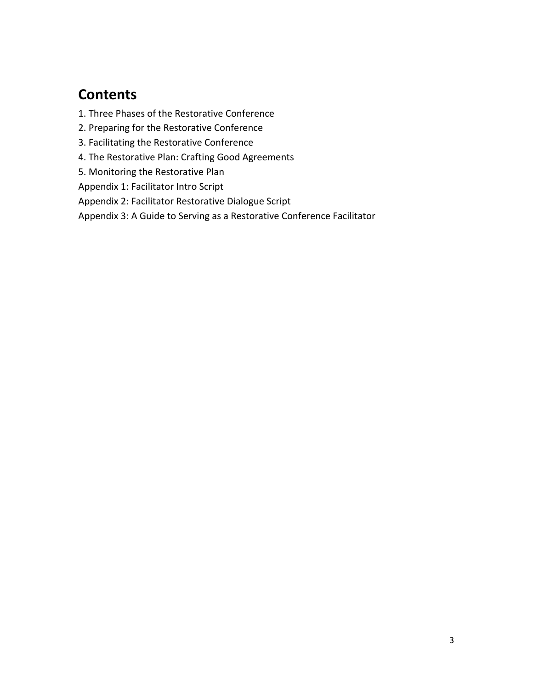# **Contents**

- 1. Three Phases of the Restorative Conference
- 2. Preparing for the Restorative Conference
- 3. Facilitating the Restorative Conference
- 4. The Restorative Plan: Crafting Good Agreements
- 5. Monitoring the Restorative Plan

Appendix 1: Facilitator Intro Script

Appendix 2: Facilitator Restorative Dialogue Script

Appendix 3: A Guide to Serving as a Restorative Conference Facilitator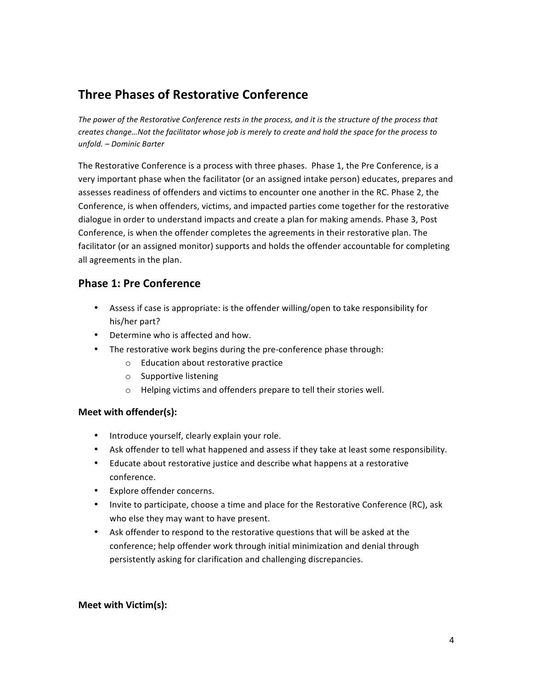# **Three Phases of Restorative Conference**

The power of the Restorative Conference rests in the process, and it is the structure of the process that creates change...Not the facilitator whose job is merely to create and hold the space for the process to *unfold. – Dominic Barter*

The Restorative Conference is a process with three phases. Phase 1, the Pre Conference, is a very important phase when the facilitator (or an assigned intake person) educates, prepares and assesses readiness of offenders and victims to encounter one another in the RC. Phase 2, the Conference, is when offenders, victims, and impacted parties come together for the restorative dialogue in order to understand impacts and create a plan for making amends. Phase 3, Post Conference, is when the offender completes the agreements in their restorative plan. The facilitator (or an assigned monitor) supports and holds the offender accountable for completing all agreements in the plan.

# **Phase 1: Pre Conference**

- Assess if case is appropriate: is the offender willing/open to take responsibility for his/her part?
- Determine who is affected and how.
- The restorative work begins during the pre-conference phase through:
	- $\circ$  Education about restorative practice
	- $\circ$  Supportive listening
	- $\circ$  Helping victims and offenders prepare to tell their stories well.

## **Meet with offender(s):**

- Introduce yourself, clearly explain your role.
- Ask offender to tell what happened and assess if they take at least some responsibility.
- Educate about restorative justice and describe what happens at a restorative conference.
- Explore offender concerns.
- Invite to participate, choose a time and place for the Restorative Conference (RC), ask who else they may want to have present.
- Ask offender to respond to the restorative questions that will be asked at the conference; help offender work through initial minimization and denial through persistently asking for clarification and challenging discrepancies.

## **Meet with Victim(s):**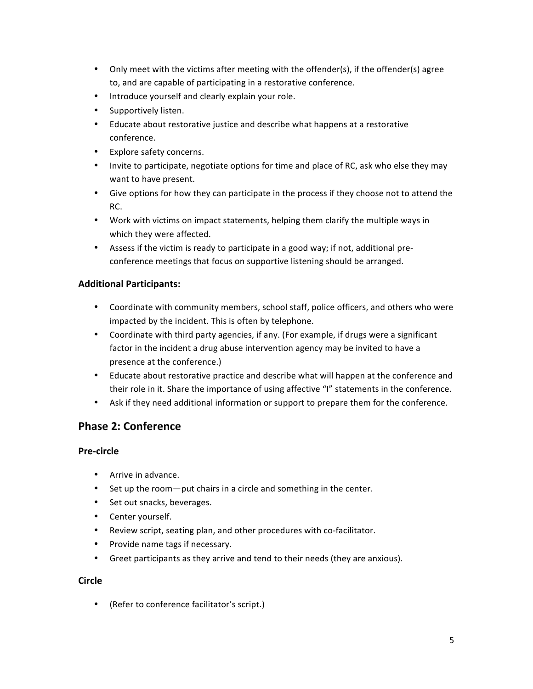- Only meet with the victims after meeting with the offender(s), if the offender(s) agree to, and are capable of participating in a restorative conference.
- Introduce yourself and clearly explain your role.
- Supportively listen.
- Educate about restorative justice and describe what happens at a restorative conference.
- Explore safety concerns.
- Invite to participate, negotiate options for time and place of RC, ask who else they may want to have present.
- Give options for how they can participate in the process if they choose not to attend the RC.
- Work with victims on impact statements, helping them clarify the multiple ways in which they were affected.
- Assess if the victim is ready to participate in a good way; if not, additional preconference meetings that focus on supportive listening should be arranged.

# **Additional Participants:**

- Coordinate with community members, school staff, police officers, and others who were impacted by the incident. This is often by telephone.
- Coordinate with third party agencies, if any. (For example, if drugs were a significant factor in the incident a drug abuse intervention agency may be invited to have a presence at the conference.)
- Educate about restorative practice and describe what will happen at the conference and their role in it. Share the importance of using affective "I" statements in the conference.
- Ask if they need additional information or support to prepare them for the conference.

# **Phase 2: Conference**

## **Pre-circle**

- Arrive in advance.
- Set up the room—put chairs in a circle and something in the center.
- Set out snacks, beverages.
- Center yourself.
- Review script, seating plan, and other procedures with co-facilitator.
- Provide name tags if necessary.
- Greet participants as they arrive and tend to their needs (they are anxious).

### **Circle**

• (Refer to conference facilitator's script.)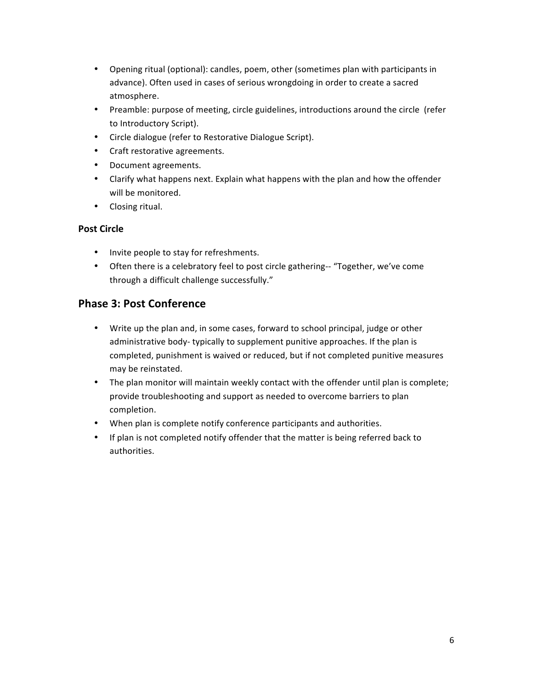- Opening ritual (optional): candles, poem, other (sometimes plan with participants in advance). Often used in cases of serious wrongdoing in order to create a sacred atmosphere.
- Preamble: purpose of meeting, circle guidelines, introductions around the circle (refer to Introductory Script).
- Circle dialogue (refer to Restorative Dialogue Script).
- Craft restorative agreements.
- Document agreements.
- Clarify what happens next. Explain what happens with the plan and how the offender will be monitored.
- Closing ritual.

# **Post Circle**

- Invite people to stay for refreshments.
- Often there is a celebratory feel to post circle gathering-- "Together, we've come through a difficult challenge successfully."

# **Phase 3: Post Conference**

- Write up the plan and, in some cases, forward to school principal, judge or other administrative body- typically to supplement punitive approaches. If the plan is completed, punishment is waived or reduced, but if not completed punitive measures may be reinstated.
- The plan monitor will maintain weekly contact with the offender until plan is complete; provide troubleshooting and support as needed to overcome barriers to plan completion.
- When plan is complete notify conference participants and authorities.
- If plan is not completed notify offender that the matter is being referred back to authorities.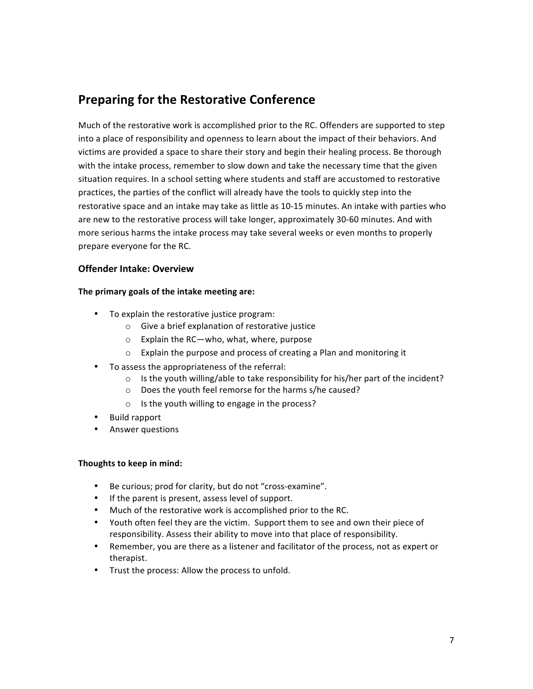# **Preparing for the Restorative Conference**

Much of the restorative work is accomplished prior to the RC. Offenders are supported to step into a place of responsibility and openness to learn about the impact of their behaviors. And victims are provided a space to share their story and begin their healing process. Be thorough with the intake process, remember to slow down and take the necessary time that the given situation requires. In a school setting where students and staff are accustomed to restorative practices, the parties of the conflict will already have the tools to quickly step into the restorative space and an intake may take as little as 10-15 minutes. An intake with parties who are new to the restorative process will take longer, approximately 30-60 minutes. And with more serious harms the intake process may take several weeks or even months to properly prepare everyone for the RC.

## **Offender Intake: Overview**

### The primary goals of the intake meeting are:

- To explain the restorative justice program:
	- $\circ$  Give a brief explanation of restorative justice
	- $\circ$  Explain the RC—who, what, where, purpose
	- $\circ$  Explain the purpose and process of creating a Plan and monitoring it
- To assess the appropriateness of the referral:
	- $\circ$  Is the youth willing/able to take responsibility for his/her part of the incident?
	- $\circ$  Does the youth feel remorse for the harms s/he caused?
	- $\circ$  Is the youth willing to engage in the process?
- Build rapport
- Answer questions

### **Thoughts to keep in mind:**

- Be curious; prod for clarity, but do not "cross-examine".
- If the parent is present, assess level of support.
- Much of the restorative work is accomplished prior to the RC.
- Youth often feel they are the victim. Support them to see and own their piece of responsibility. Assess their ability to move into that place of responsibility.
- Remember, you are there as a listener and facilitator of the process, not as expert or therapist.
- Trust the process: Allow the process to unfold.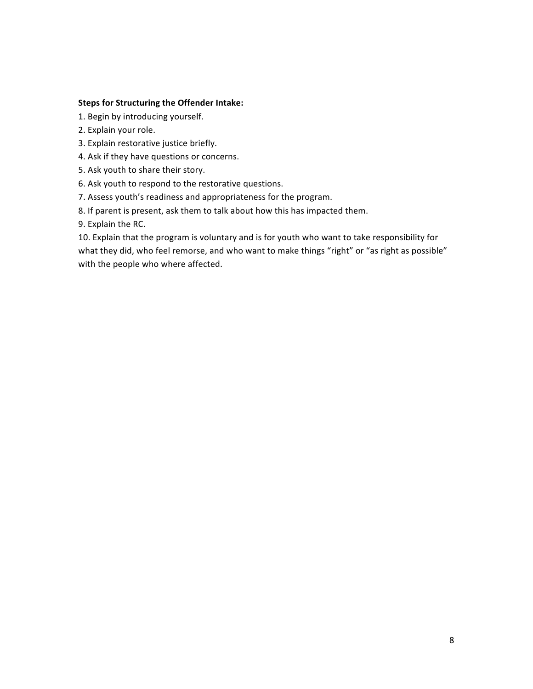### **Steps for Structuring the Offender Intake:**

1. Begin by introducing yourself.

- 2. Explain your role.
- 3. Explain restorative justice briefly.
- 4. Ask if they have questions or concerns.
- 5. Ask youth to share their story.
- 6. Ask youth to respond to the restorative questions.
- 7. Assess youth's readiness and appropriateness for the program.
- 8. If parent is present, ask them to talk about how this has impacted them.

9. Explain the RC.

10. Explain that the program is voluntary and is for youth who want to take responsibility for what they did, who feel remorse, and who want to make things "right" or "as right as possible" with the people who where affected.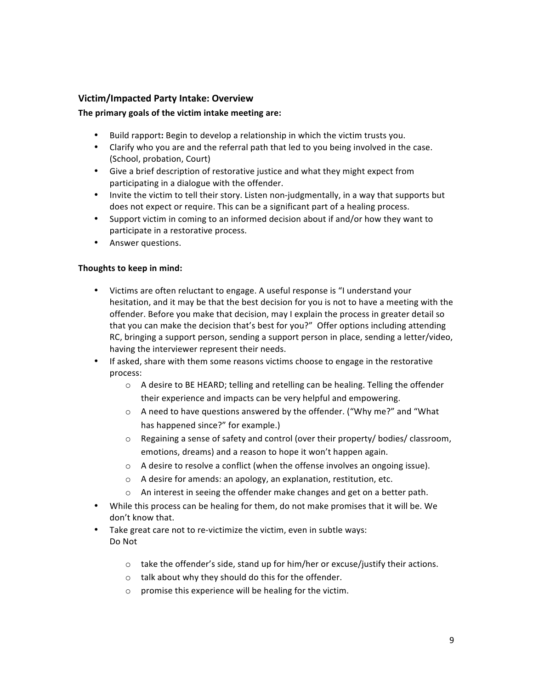## **Victim/Impacted Party Intake: Overview**

### The primary goals of the victim intake meeting are:

- Build rapport: Begin to develop a relationship in which the victim trusts you.
- Clarify who you are and the referral path that led to you being involved in the case. (School, probation, Court)
- Give a brief description of restorative justice and what they might expect from participating in a dialogue with the offender.
- Invite the victim to tell their story. Listen non-judgmentally, in a way that supports but does not expect or require. This can be a significant part of a healing process.
- Support victim in coming to an informed decision about if and/or how they want to participate in a restorative process.
- Answer questions.

### Thoughts to keep in mind:

- Victims are often reluctant to engage. A useful response is "I understand your hesitation, and it may be that the best decision for you is not to have a meeting with the offender. Before you make that decision, may I explain the process in greater detail so that you can make the decision that's best for you?" Offer options including attending RC, bringing a support person, sending a support person in place, sending a letter/video, having the interviewer represent their needs.
- If asked, share with them some reasons victims choose to engage in the restorative process:
	- $\circ$  A desire to BE HEARD; telling and retelling can be healing. Telling the offender their experience and impacts can be very helpful and empowering.
	- o A need to have questions answered by the offender. ("Why me?" and "What has happened since?" for example.)
	- $\circ$  Regaining a sense of safety and control (over their property/ bodies/ classroom, emotions, dreams) and a reason to hope it won't happen again.
	- $\circ$  A desire to resolve a conflict (when the offense involves an ongoing issue).
	- $\circ$  A desire for amends: an apology, an explanation, restitution, etc.
	- $\circ$  An interest in seeing the offender make changes and get on a better path.
- While this process can be healing for them, do not make promises that it will be. We don't know that.
- Take great care not to re-victimize the victim, even in subtle ways: Do Not
	- $\circ$  take the offender's side, stand up for him/her or excuse/justify their actions.
	- $\circ$  talk about why they should do this for the offender.
	- $\circ$  promise this experience will be healing for the victim.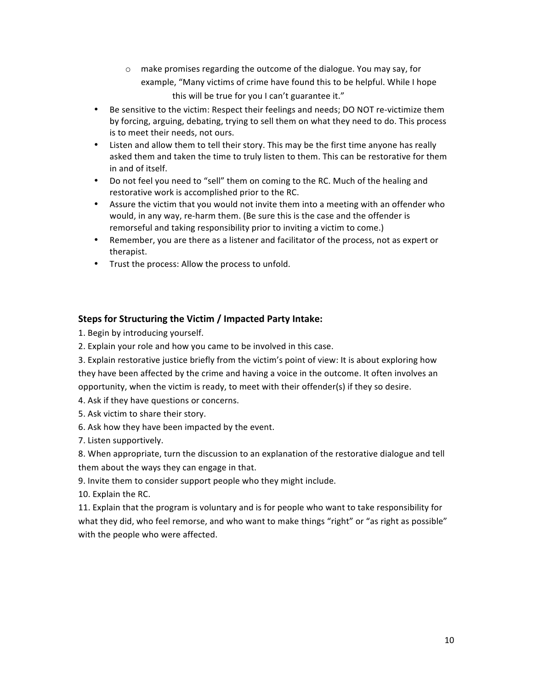- $\circ$  make promises regarding the outcome of the dialogue. You may say, for example, "Many victims of crime have found this to be helpful. While I hope this will be true for you I can't guarantee it."
- Be sensitive to the victim: Respect their feelings and needs; DO NOT re-victimize them by forcing, arguing, debating, trying to sell them on what they need to do. This process is to meet their needs, not ours.
- Listen and allow them to tell their story. This may be the first time anyone has really asked them and taken the time to truly listen to them. This can be restorative for them in and of itself.
- Do not feel you need to "sell" them on coming to the RC. Much of the healing and restorative work is accomplished prior to the RC.
- Assure the victim that you would not invite them into a meeting with an offender who would, in any way, re-harm them. (Be sure this is the case and the offender is remorseful and taking responsibility prior to inviting a victim to come.)
- Remember, you are there as a listener and facilitator of the process, not as expert or therapist.
- Trust the process: Allow the process to unfold.

# **Steps for Structuring the Victim / Impacted Party Intake:**

1. Begin by introducing yourself.

2. Explain your role and how you came to be involved in this case.

3. Explain restorative justice briefly from the victim's point of view: It is about exploring how they have been affected by the crime and having a voice in the outcome. It often involves an opportunity, when the victim is ready, to meet with their offender(s) if they so desire.

4. Ask if they have questions or concerns.

- 5. Ask victim to share their story.
- 6. Ask how they have been impacted by the event.

7. Listen supportively.

8. When appropriate, turn the discussion to an explanation of the restorative dialogue and tell them about the ways they can engage in that.

9. Invite them to consider support people who they might include.

10. Explain the RC.

11. Explain that the program is voluntary and is for people who want to take responsibility for what they did, who feel remorse, and who want to make things "right" or "as right as possible" with the people who were affected.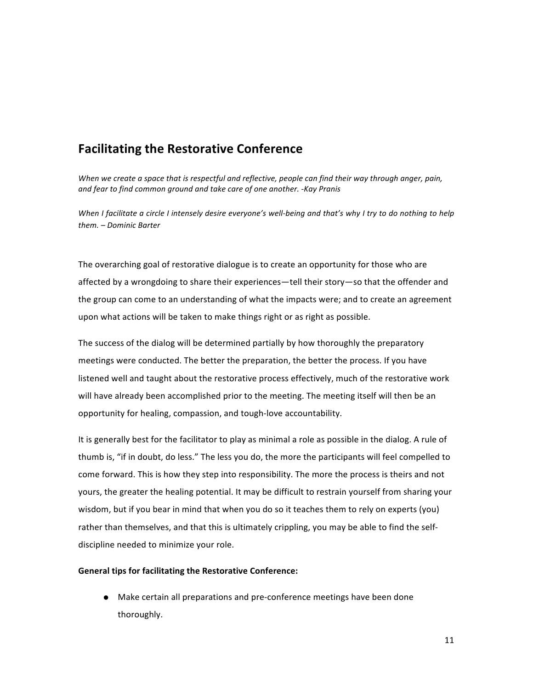# **Facilitating the Restorative Conference**

*When* we create a space that is respectful and reflective, people can find their way through anger, pain, and fear to find common ground and take care of one another. -Kay Pranis

*When* I facilitate a circle I intensely desire everyone's well-being and that's why I try to do nothing to help *them. – Dominic Barter*

The overarching goal of restorative dialogue is to create an opportunity for those who are affected by a wrongdoing to share their experiences—tell their story—so that the offender and the group can come to an understanding of what the impacts were; and to create an agreement upon what actions will be taken to make things right or as right as possible.

The success of the dialog will be determined partially by how thoroughly the preparatory meetings were conducted. The better the preparation, the better the process. If you have listened well and taught about the restorative process effectively, much of the restorative work will have already been accomplished prior to the meeting. The meeting itself will then be an opportunity for healing, compassion, and tough-love accountability.

It is generally best for the facilitator to play as minimal a role as possible in the dialog. A rule of thumb is, "if in doubt, do less." The less you do, the more the participants will feel compelled to come forward. This is how they step into responsibility. The more the process is theirs and not yours, the greater the healing potential. It may be difficult to restrain yourself from sharing your wisdom, but if you bear in mind that when you do so it teaches them to rely on experts (you) rather than themselves, and that this is ultimately crippling, you may be able to find the selfdiscipline needed to minimize your role.

#### **General tips for facilitating the Restorative Conference:**

 $\bullet$  Make certain all preparations and pre-conference meetings have been done thoroughly.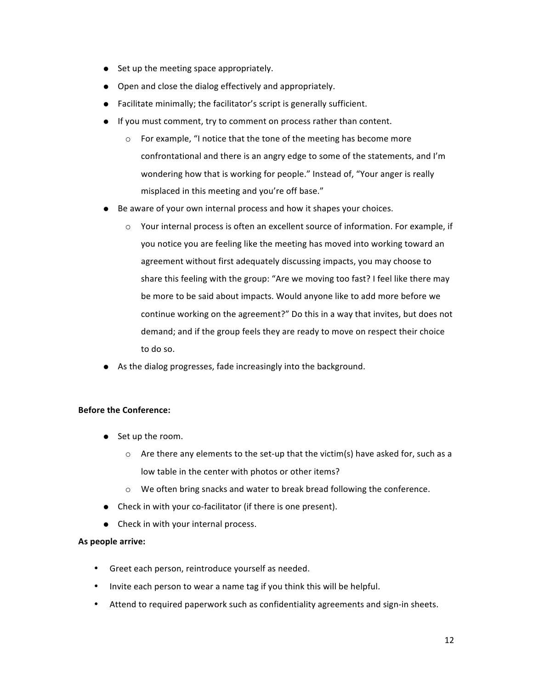- $\bullet$  Set up the meeting space appropriately.
- Open and close the dialog effectively and appropriately.
- Facilitate minimally; the facilitator's script is generally sufficient.
- If you must comment, try to comment on process rather than content.
	- $\circ$  For example, "I notice that the tone of the meeting has become more confrontational and there is an angry edge to some of the statements, and I'm wondering how that is working for people." Instead of, "Your anger is really misplaced in this meeting and you're off base."
- Be aware of your own internal process and how it shapes your choices.
	- $\circ$  Your internal process is often an excellent source of information. For example, if you notice you are feeling like the meeting has moved into working toward an agreement without first adequately discussing impacts, you may choose to share this feeling with the group: "Are we moving too fast? I feel like there may be more to be said about impacts. Would anyone like to add more before we continue working on the agreement?" Do this in a way that invites, but does not demand; and if the group feels they are ready to move on respect their choice to do so.
- $\bullet$  As the dialog progresses, fade increasingly into the background.

### **Before the Conference:**

- Set up the room.
	- $\circ$  Are there any elements to the set-up that the victim(s) have asked for, such as a low table in the center with photos or other items?
	- $\circ$  We often bring snacks and water to break bread following the conference.
- Check in with your co-facilitator (if there is one present).
- Check in with your internal process.

#### As people arrive:

- Greet each person, reintroduce yourself as needed.
- Invite each person to wear a name tag if you think this will be helpful.
- Attend to required paperwork such as confidentiality agreements and sign-in sheets.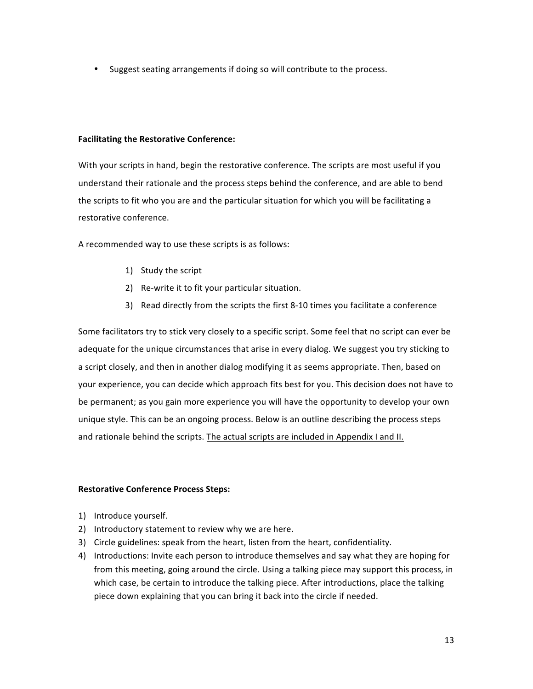• Suggest seating arrangements if doing so will contribute to the process.

### **Facilitating the Restorative Conference:**

With your scripts in hand, begin the restorative conference. The scripts are most useful if you understand their rationale and the process steps behind the conference, and are able to bend the scripts to fit who you are and the particular situation for which you will be facilitating a restorative conference.

A recommended way to use these scripts is as follows:

- 1) Study the script
- 2) Re-write it to fit your particular situation.
- 3) Read directly from the scripts the first 8-10 times you facilitate a conference

Some facilitators try to stick very closely to a specific script. Some feel that no script can ever be adequate for the unique circumstances that arise in every dialog. We suggest you try sticking to a script closely, and then in another dialog modifying it as seems appropriate. Then, based on your experience, you can decide which approach fits best for you. This decision does not have to be permanent; as you gain more experience you will have the opportunity to develop your own unique style. This can be an ongoing process. Below is an outline describing the process steps and rationale behind the scripts. The actual scripts are included in Appendix I and II.

#### **Restorative Conference Process Steps:**

- 1) Introduce yourself.
- 2) Introductory statement to review why we are here.
- 3) Circle guidelines: speak from the heart, listen from the heart, confidentiality.
- 4) Introductions: Invite each person to introduce themselves and say what they are hoping for from this meeting, going around the circle. Using a talking piece may support this process, in which case, be certain to introduce the talking piece. After introductions, place the talking piece down explaining that you can bring it back into the circle if needed.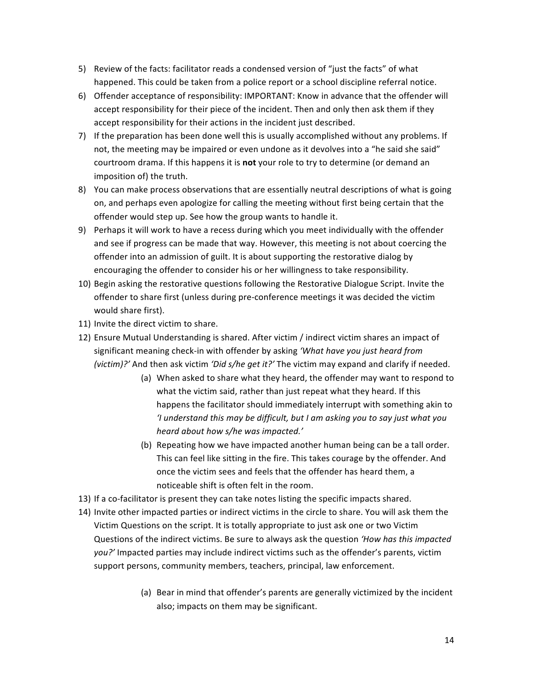- 5) Review of the facts: facilitator reads a condensed version of "just the facts" of what happened. This could be taken from a police report or a school discipline referral notice.
- 6) Offender acceptance of responsibility: IMPORTANT: Know in advance that the offender will accept responsibility for their piece of the incident. Then and only then ask them if they accept responsibility for their actions in the incident just described.
- 7) If the preparation has been done well this is usually accomplished without any problems. If not, the meeting may be impaired or even undone as it devolves into a "he said she said" courtroom drama. If this happens it is not your role to try to determine (or demand an imposition of) the truth.
- 8) You can make process observations that are essentially neutral descriptions of what is going on, and perhaps even apologize for calling the meeting without first being certain that the offender would step up. See how the group wants to handle it.
- 9) Perhaps it will work to have a recess during which you meet individually with the offender and see if progress can be made that way. However, this meeting is not about coercing the offender into an admission of guilt. It is about supporting the restorative dialog by encouraging the offender to consider his or her willingness to take responsibility.
- 10) Begin asking the restorative questions following the Restorative Dialogue Script. Invite the offender to share first (unless during pre-conference meetings it was decided the victim would share first).
- 11) Invite the direct victim to share.
- 12) Ensure Mutual Understanding is shared. After victim / indirect victim shares an impact of significant meaning check-in with offender by asking 'What have you just heard from *(victim)?'* And then ask victim 'Did s/he get it?' The victim may expand and clarify if needed.
	- (a) When asked to share what they heard, the offender may want to respond to what the victim said, rather than just repeat what they heard. If this happens the facilitator should immediately interrupt with something akin to *'I* understand this may be difficult, but I am asking you to say just what you *heard about how s/he was impacted.'*
	- (b) Repeating how we have impacted another human being can be a tall order. This can feel like sitting in the fire. This takes courage by the offender. And once the victim sees and feels that the offender has heard them, a noticeable shift is often felt in the room.
- 13) If a co-facilitator is present they can take notes listing the specific impacts shared.
- 14) Invite other impacted parties or indirect victims in the circle to share. You will ask them the Victim Questions on the script. It is totally appropriate to just ask one or two Victim Questions of the indirect victims. Be sure to always ask the question *'How has this impacted you?'* Impacted parties may include indirect victims such as the offender's parents, victim support persons, community members, teachers, principal, law enforcement.
	- (a) Bear in mind that offender's parents are generally victimized by the incident also; impacts on them may be significant.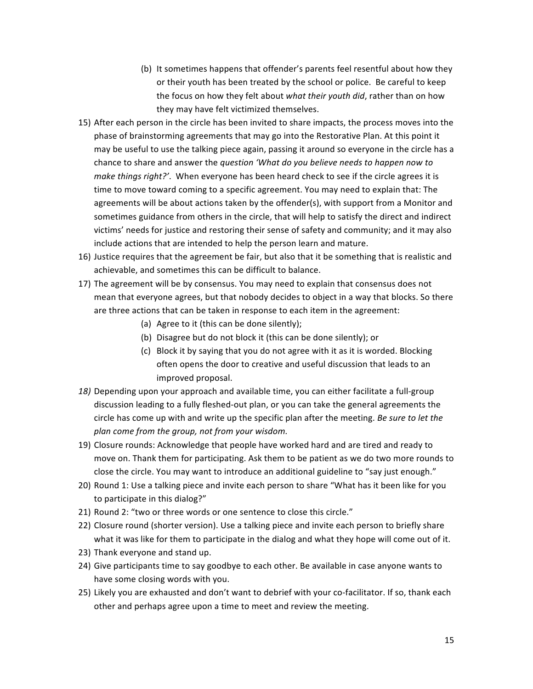- (b) It sometimes happens that offender's parents feel resentful about how they or their youth has been treated by the school or police. Be careful to keep the focus on how they felt about what their youth did, rather than on how they may have felt victimized themselves.
- 15) After each person in the circle has been invited to share impacts, the process moves into the phase of brainstorming agreements that may go into the Restorative Plan. At this point it may be useful to use the talking piece again, passing it around so everyone in the circle has a chance to share and answer the *question 'What do you believe needs to happen now to make things right?'.* When everyone has been heard check to see if the circle agrees it is time to move toward coming to a specific agreement. You may need to explain that: The agreements will be about actions taken by the offender(s), with support from a Monitor and sometimes guidance from others in the circle, that will help to satisfy the direct and indirect victims' needs for justice and restoring their sense of safety and community; and it may also include actions that are intended to help the person learn and mature.
- 16) Justice requires that the agreement be fair, but also that it be something that is realistic and achievable, and sometimes this can be difficult to balance.
- 17) The agreement will be by consensus. You may need to explain that consensus does not mean that everyone agrees, but that nobody decides to object in a way that blocks. So there are three actions that can be taken in response to each item in the agreement:
	- (a) Agree to it (this can be done silently);
	- (b) Disagree but do not block it (this can be done silently); or
	- (c) Block it by saying that you do not agree with it as it is worded. Blocking often opens the door to creative and useful discussion that leads to an improved proposal.
- 18) Depending upon your approach and available time, you can either facilitate a full-group discussion leading to a fully fleshed-out plan, or you can take the general agreements the circle has come up with and write up the specific plan after the meeting. *Be sure to let the* plan come from the group, not from your wisdom.
- 19) Closure rounds: Acknowledge that people have worked hard and are tired and ready to move on. Thank them for participating. Ask them to be patient as we do two more rounds to close the circle. You may want to introduce an additional guideline to "say just enough."
- 20) Round 1: Use a talking piece and invite each person to share "What has it been like for you to participate in this dialog?"
- 21) Round 2: "two or three words or one sentence to close this circle."
- 22) Closure round (shorter version). Use a talking piece and invite each person to briefly share what it was like for them to participate in the dialog and what they hope will come out of it.
- 23) Thank everyone and stand up.
- 24) Give participants time to say goodbye to each other. Be available in case anyone wants to have some closing words with you.
- 25) Likely you are exhausted and don't want to debrief with your co-facilitator. If so, thank each other and perhaps agree upon a time to meet and review the meeting.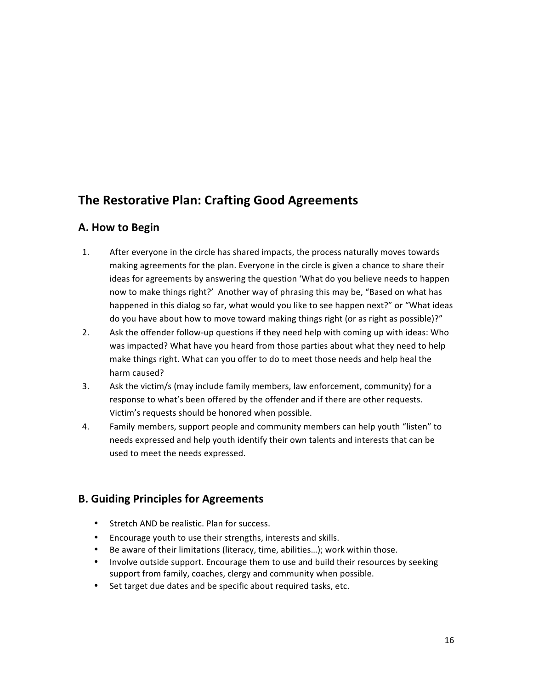# **The Restorative Plan: Crafting Good Agreements**

# **A. How to Begin**

- 1. After everyone in the circle has shared impacts, the process naturally moves towards making agreements for the plan. Everyone in the circle is given a chance to share their ideas for agreements by answering the question 'What do you believe needs to happen now to make things right?' Another way of phrasing this may be, "Based on what has happened in this dialog so far, what would you like to see happen next?" or "What ideas do you have about how to move toward making things right (or as right as possible)?"
- 2. Ask the offender follow-up questions if they need help with coming up with ideas: Who was impacted? What have you heard from those parties about what they need to help make things right. What can you offer to do to meet those needs and help heal the harm caused?
- 3. Ask the victim/s (may include family members, law enforcement, community) for a response to what's been offered by the offender and if there are other requests. Victim's requests should be honored when possible.
- 4. Family members, support people and community members can help youth "listen" to needs expressed and help youth identify their own talents and interests that can be used to meet the needs expressed.

# **B. Guiding Principles for Agreements**

- Stretch AND be realistic. Plan for success.
- Encourage youth to use their strengths, interests and skills.
- Be aware of their limitations (literacy, time, abilities...); work within those.
- Involve outside support. Encourage them to use and build their resources by seeking support from family, coaches, clergy and community when possible.
- Set target due dates and be specific about required tasks, etc.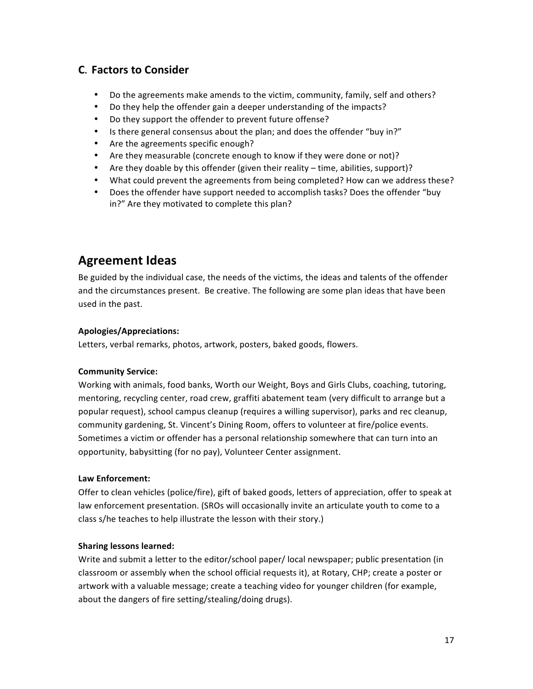# **C. Factors to Consider**

- Do the agreements make amends to the victim, community, family, self and others?
- Do they help the offender gain a deeper understanding of the impacts?
- Do they support the offender to prevent future offense?
- Is there general consensus about the plan; and does the offender "buy in?"
- Are the agreements specific enough?
- Are they measurable (concrete enough to know if they were done or not)?
- Are they doable by this offender (given their reality time, abilities, support)?
- What could prevent the agreements from being completed? How can we address these?
- Does the offender have support needed to accomplish tasks? Does the offender "buy in?" Are they motivated to complete this plan?

# **Agreement Ideas**

Be guided by the individual case, the needs of the victims, the ideas and talents of the offender and the circumstances present. Be creative. The following are some plan ideas that have been used in the past.

### **Apologies/Appreciations:**

Letters, verbal remarks, photos, artwork, posters, baked goods, flowers.

## **Community Service:**

Working with animals, food banks, Worth our Weight, Boys and Girls Clubs, coaching, tutoring, mentoring, recycling center, road crew, graffiti abatement team (very difficult to arrange but a popular request), school campus cleanup (requires a willing supervisor), parks and rec cleanup, community gardening, St. Vincent's Dining Room, offers to volunteer at fire/police events. Sometimes a victim or offender has a personal relationship somewhere that can turn into an opportunity, babysitting (for no pay), Volunteer Center assignment.

### **Law Enforcement:**

Offer to clean vehicles (police/fire), gift of baked goods, letters of appreciation, offer to speak at law enforcement presentation. (SROs will occasionally invite an articulate youth to come to a class s/he teaches to help illustrate the lesson with their story.)

## **Sharing lessons learned:**

Write and submit a letter to the editor/school paper/ local newspaper; public presentation (in classroom or assembly when the school official requests it), at Rotary, CHP; create a poster or artwork with a valuable message; create a teaching video for younger children (for example, about the dangers of fire setting/stealing/doing drugs).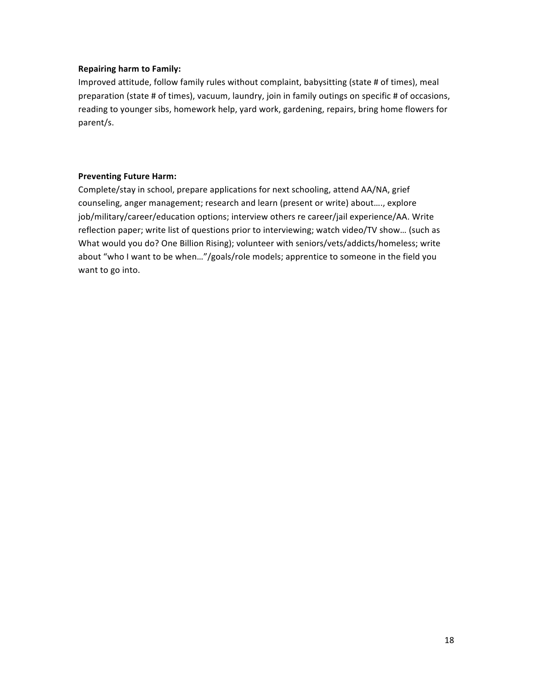### **Repairing harm to Family:**

Improved attitude, follow family rules without complaint, babysitting (state # of times), meal preparation (state # of times), vacuum, laundry, join in family outings on specific # of occasions, reading to younger sibs, homework help, yard work, gardening, repairs, bring home flowers for parent/s.

### **Preventing Future Harm:**

Complete/stay in school, prepare applications for next schooling, attend AA/NA, grief counseling, anger management; research and learn (present or write) about...., explore job/military/career/education options; interview others re career/jail experience/AA. Write reflection paper; write list of questions prior to interviewing; watch video/TV show... (such as What would you do? One Billion Rising); volunteer with seniors/vets/addicts/homeless; write about "who I want to be when..."/goals/role models; apprentice to someone in the field you want to go into.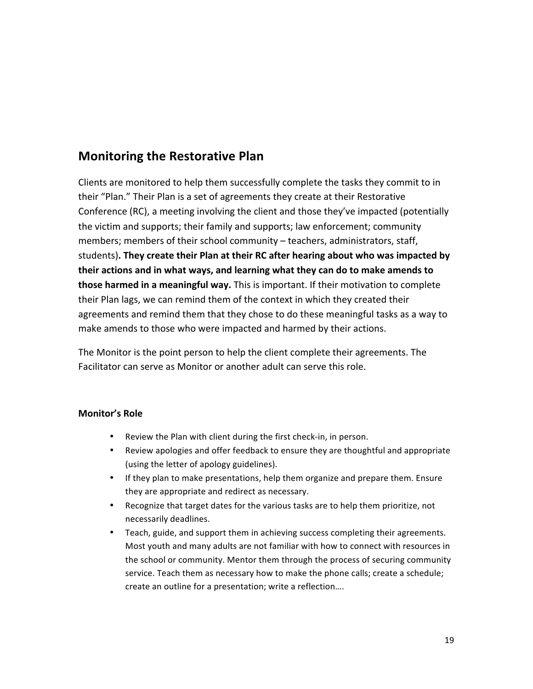# **Monitoring the Restorative Plan**

Clients are monitored to help them successfully complete the tasks they commit to in their "Plan." Their Plan is a set of agreements they create at their Restorative Conference (RC), a meeting involving the client and those they've impacted (potentially the victim and supports; their family and supports; law enforcement; community members; members of their school community - teachers, administrators, staff, students). They create their Plan at their RC after hearing about who was impacted by their actions and in what ways, and learning what they can do to make amends to **those harmed in a meaningful way.** This is important. If their motivation to complete their Plan lags, we can remind them of the context in which they created their agreements and remind them that they chose to do these meaningful tasks as a way to make amends to those who were impacted and harmed by their actions.

The Monitor is the point person to help the client complete their agreements. The Facilitator can serve as Monitor or another adult can serve this role.

## **Monitor's Role**

- Review the Plan with client during the first check-in, in person.
- Review apologies and offer feedback to ensure they are thoughtful and appropriate (using the letter of apology guidelines).
- If they plan to make presentations, help them organize and prepare them. Ensure they are appropriate and redirect as necessary.
- Recognize that target dates for the various tasks are to help them prioritize, not necessarily deadlines.
- Teach, guide, and support them in achieving success completing their agreements. Most youth and many adults are not familiar with how to connect with resources in the school or community. Mentor them through the process of securing community service. Teach them as necessary how to make the phone calls; create a schedule; create an outline for a presentation; write a reflection....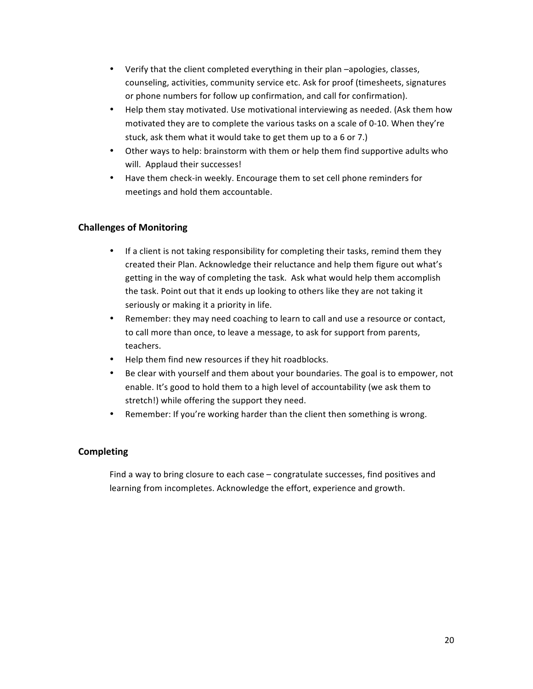- Verify that the client completed everything in their plan -apologies, classes, counseling, activities, community service etc. Ask for proof (timesheets, signatures or phone numbers for follow up confirmation, and call for confirmation).
- Help them stay motivated. Use motivational interviewing as needed. (Ask them how motivated they are to complete the various tasks on a scale of 0-10. When they're stuck, ask them what it would take to get them up to a 6 or 7.)
- Other ways to help: brainstorm with them or help them find supportive adults who will. Applaud their successes!
- Have them check-in weekly. Encourage them to set cell phone reminders for meetings and hold them accountable.

# **Challenges of Monitoring**

- If a client is not taking responsibility for completing their tasks, remind them they created their Plan. Acknowledge their reluctance and help them figure out what's getting in the way of completing the task. Ask what would help them accomplish the task. Point out that it ends up looking to others like they are not taking it seriously or making it a priority in life.
- Remember: they may need coaching to learn to call and use a resource or contact, to call more than once, to leave a message, to ask for support from parents, teachers.
- Help them find new resources if they hit roadblocks.
- Be clear with yourself and them about your boundaries. The goal is to empower, not enable. It's good to hold them to a high level of accountability (we ask them to stretch!) while offering the support they need.
- Remember: If you're working harder than the client then something is wrong.

## **Completing**

Find a way to bring closure to each case  $-$  congratulate successes, find positives and learning from incompletes. Acknowledge the effort, experience and growth.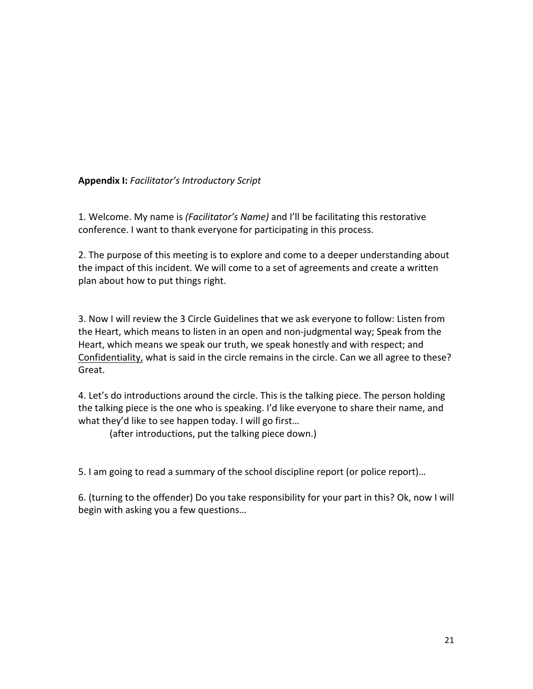# **Appendix I:** *Facilitator's Introductory Script*

1. Welcome. My name is *(Facilitator's Name)* and I'll be facilitating this restorative conference. I want to thank everyone for participating in this process.

2. The purpose of this meeting is to explore and come to a deeper understanding about the impact of this incident. We will come to a set of agreements and create a written plan about how to put things right.

3. Now I will review the 3 Circle Guidelines that we ask everyone to follow: Listen from the Heart, which means to listen in an open and non-judgmental way; Speak from the Heart, which means we speak our truth, we speak honestly and with respect; and Confidentiality, what is said in the circle remains in the circle. Can we all agree to these? Great.

4. Let's do introductions around the circle. This is the talking piece. The person holding the talking piece is the one who is speaking. I'd like everyone to share their name, and what they'd like to see happen today. I will go first...

(after introductions, put the talking piece down.)

5. I am going to read a summary of the school discipline report (or police report)...

6. (turning to the offender) Do you take responsibility for your part in this? Ok, now I will begin with asking you a few questions...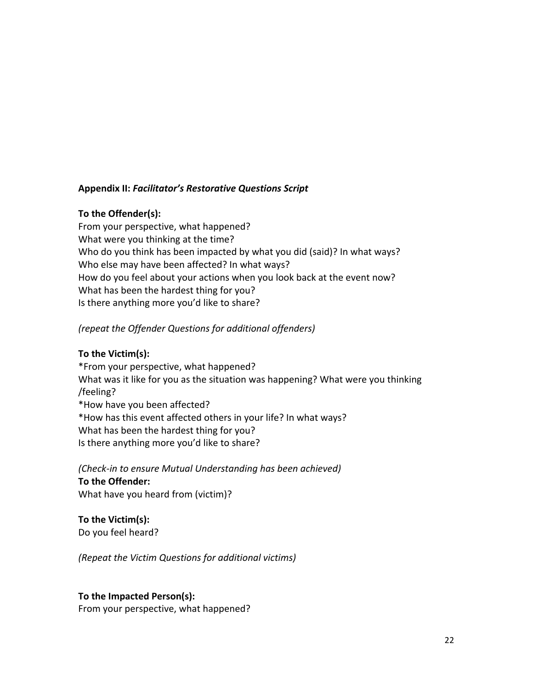# **Appendix II:** *Facilitator's Restorative Questions Script*

# **To the Offender(s):**

From your perspective, what happened? What were you thinking at the time? Who do you think has been impacted by what you did (said)? In what ways? Who else may have been affected? In what ways? How do you feel about your actions when you look back at the event now? What has been the hardest thing for you? Is there anything more you'd like to share?

# *(repeat the Offender Questions for additional offenders)*

# **To the Victim(s):**

\*From your perspective, what happened? What was it like for you as the situation was happening? What were you thinking /feeling? \*How have you been affected? \*How has this event affected others in your life? In what ways? What has been the hardest thing for you? Is there anything more you'd like to share?

(Check-in to ensure Mutual Understanding has been achieved) **To the Offender:** What have you heard from (victim)?

**To the Victim(s):** Do you feel heard?

*(Repeat the Victim Questions for additional victims)*

## **To the Impacted Person(s):**

From your perspective, what happened?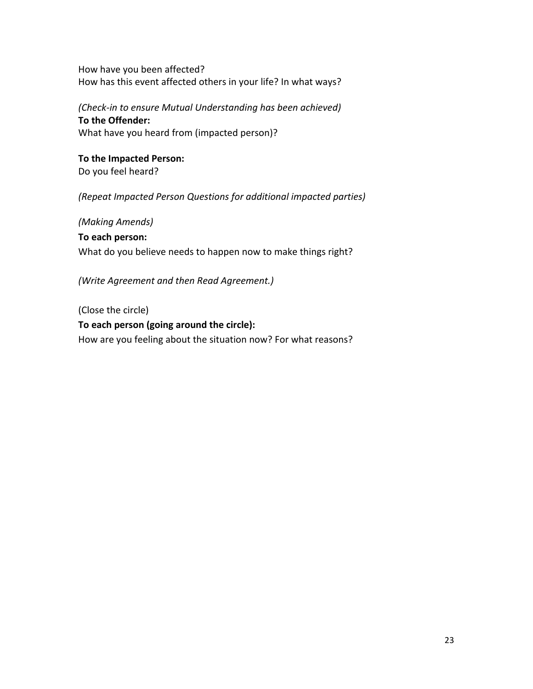How have you been affected? How has this event affected others in your life? In what ways?

*(Check-in to ensure Mutual Understanding has been achieved)* **To the Offender:** What have you heard from (impacted person)?

**To the Impacted Person:** Do you feel heard?

*(Repeat Impacted Person Questions for additional impacted parties)* 

*(Making Amends)* **To each person:** What do you believe needs to happen now to make things right?

*(Write Agreement and then Read Agreement.)* 

(Close the circle) To each person (going around the circle): How are you feeling about the situation now? For what reasons?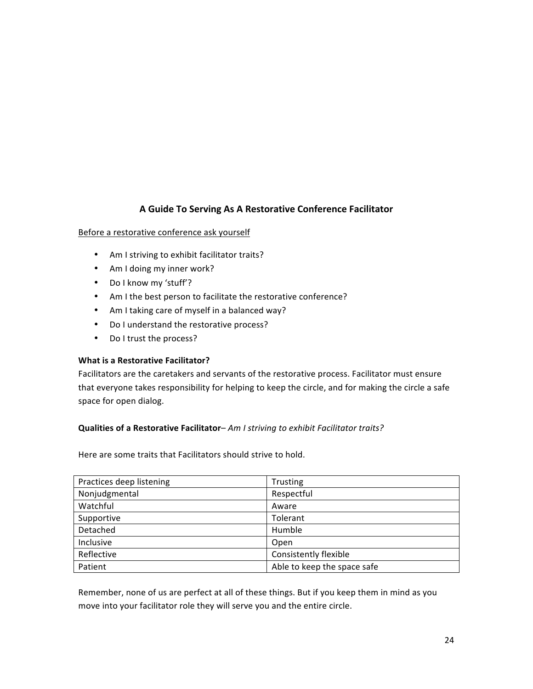# **A Guide To Serving As A Restorative Conference Facilitator**

### Before a restorative conference ask yourself

- Am I striving to exhibit facilitator traits?
- Am I doing my inner work?
- Do I know my 'stuff'?
- Am I the best person to facilitate the restorative conference?
- Am I taking care of myself in a balanced way?
- Do I understand the restorative process?
- Do I trust the process?

### **What is a Restorative Facilitator?**

Facilitators are the caretakers and servants of the restorative process. Facilitator must ensure that everyone takes responsibility for helping to keep the circle, and for making the circle a safe space for open dialog.

### **Qualities of a Restorative Facilitator-** *Am I striving to exhibit Facilitator traits?*

Here are some traits that Facilitators should strive to hold.

| Practices deep listening | <b>Trusting</b>             |
|--------------------------|-----------------------------|
| Nonjudgmental            | Respectful                  |
| Watchful                 | Aware                       |
| Supportive               | Tolerant                    |
| Detached                 | Humble                      |
| Inclusive                | Open                        |
| Reflective               | Consistently flexible       |
| Patient                  | Able to keep the space safe |

Remember, none of us are perfect at all of these things. But if you keep them in mind as you move into your facilitator role they will serve you and the entire circle.